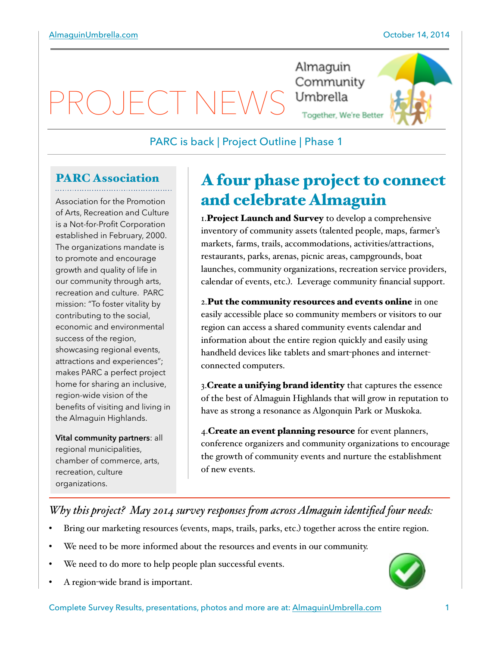$\Box$ 

Almaguin Community Umbrella Together, We're Better



## PARC is back | Project Outline | Phase 1

# PARC Association

Association for the Promotion of Arts, Recreation and Culture is a Not-for-Profit Corporation established in February, 2000. The organizations mandate is to promote and encourage growth and quality of life in our community through arts, recreation and culture. PARC mission: "To foster vitality by contributing to the social, economic and environmental success of the region, showcasing regional events, attractions and experiences"; makes PARC a perfect project home for sharing an inclusive, region-wide vision of the benefits of visiting and living in the Almaguin Highlands.

**Vital community partners**: all regional municipalities, chamber of commerce, arts, recreation, culture organizations.

# A four phase project to connect and celebrate Almaguin

I. Project Launch and Survey to develop a comprehensive inventory of community assets (talented people, maps, farmer's markets, farms, trails, accommodations, activities/attractions, restaurants, parks, arenas, picnic areas, campgrounds, boat launches, community organizations, recreation service providers, calendar of events, etc.). Leverage community financial support.

2.Put the community resources and events online in one easily accessible place so community members or visitors to our region can access a shared community events calendar and information about the entire region quickly and easily using handheld devices like tablets and smart-phones and internetconnected computers.

3. Create a unifying brand identity that captures the essence of the best of Almaguin Highlands that will grow in reputation to have as strong a resonance as Algonquin Park or Muskoka.

4. Create an event planning resource for event planners, conference organizers and community organizations to encourage the growth of community events and nurture the establishment of new events.

## *Why this project? May 2014 survey responses fom across Almaguin identified four needs:*

- Bring our marketing resources (events, maps, trails, parks, etc.) together across the entire region.
- We need to be more informed about the resources and events in our community.
- We need to do more to help people plan successful events.
- A region-wide brand is important.